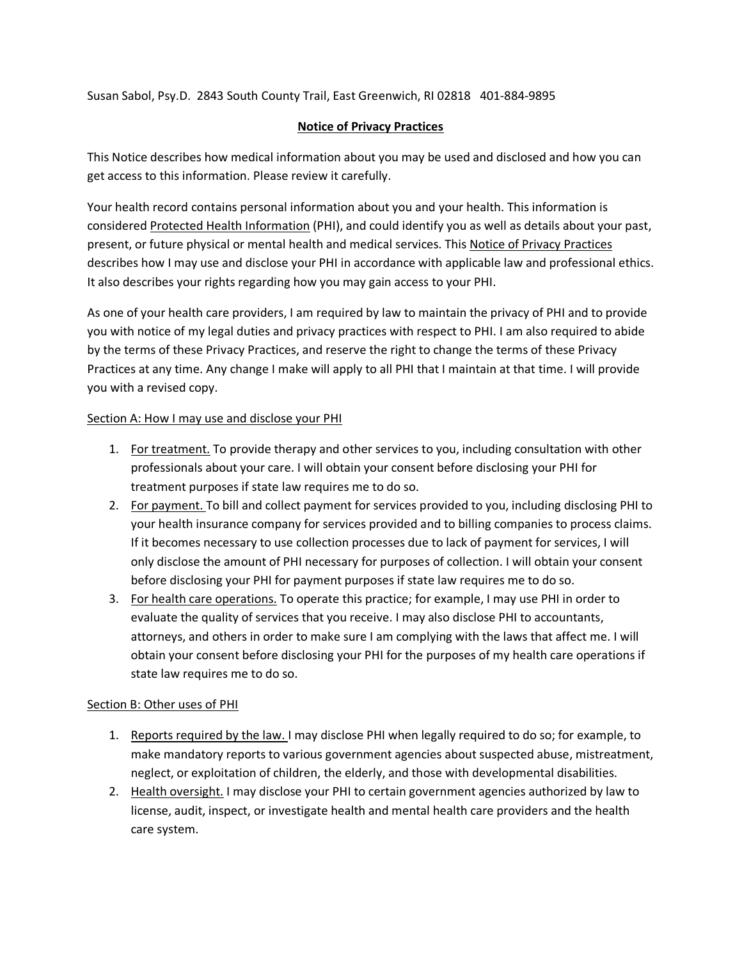Susan Sabol, Psy.D. 2843 South County Trail, East Greenwich, RI 02818 401-884-9895

# **Notice of Privacy Practices**

This Notice describes how medical information about you may be used and disclosed and how you can get access to this information. Please review it carefully.

Your health record contains personal information about you and your health. This information is considered Protected Health Information (PHI), and could identify you as well as details about your past, present, or future physical or mental health and medical services. This Notice of Privacy Practices describes how I may use and disclose your PHI in accordance with applicable law and professional ethics. It also describes your rights regarding how you may gain access to your PHI.

As one of your health care providers, I am required by law to maintain the privacy of PHI and to provide you with notice of my legal duties and privacy practices with respect to PHI. I am also required to abide by the terms of these Privacy Practices, and reserve the right to change the terms of these Privacy Practices at any time. Any change I make will apply to all PHI that I maintain at that time. I will provide you with a revised copy.

### Section A: How I may use and disclose your PHI

- 1. For treatment. To provide therapy and other services to you, including consultation with other professionals about your care. I will obtain your consent before disclosing your PHI for treatment purposes if state law requires me to do so.
- 2. For payment. To bill and collect payment for services provided to you, including disclosing PHI to your health insurance company for services provided and to billing companies to process claims. If it becomes necessary to use collection processes due to lack of payment for services, I will only disclose the amount of PHI necessary for purposes of collection. I will obtain your consent before disclosing your PHI for payment purposes if state law requires me to do so.
- 3. For health care operations. To operate this practice; for example, I may use PHI in order to evaluate the quality of services that you receive. I may also disclose PHI to accountants, attorneys, and others in order to make sure I am complying with the laws that affect me. I will obtain your consent before disclosing your PHI for the purposes of my health care operations if state law requires me to do so.

# Section B: Other uses of PHI

- 1. Reports required by the law. I may disclose PHI when legally required to do so; for example, to make mandatory reports to various government agencies about suspected abuse, mistreatment, neglect, or exploitation of children, the elderly, and those with developmental disabilities.
- 2. Health oversight. I may disclose your PHI to certain government agencies authorized by law to license, audit, inspect, or investigate health and mental health care providers and the health care system.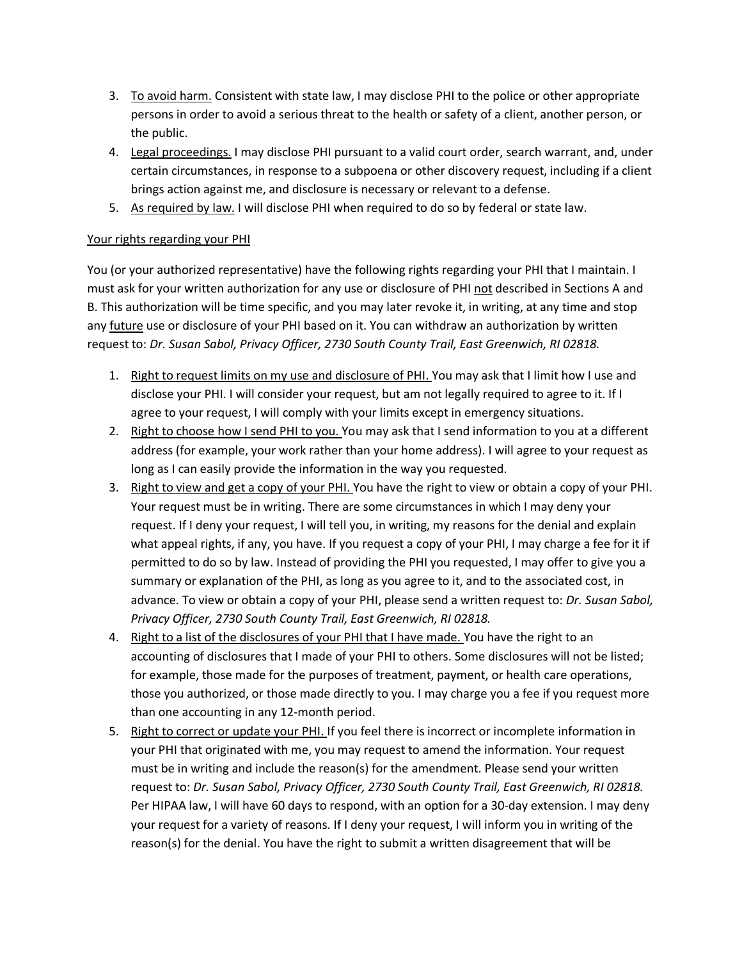- 3. To avoid harm. Consistent with state law, I may disclose PHI to the police or other appropriate persons in order to avoid a serious threat to the health or safety of a client, another person, or the public.
- 4. Legal proceedings. I may disclose PHI pursuant to a valid court order, search warrant, and, under certain circumstances, in response to a subpoena or other discovery request, including if a client brings action against me, and disclosure is necessary or relevant to a defense.
- 5. As required by law. I will disclose PHI when required to do so by federal or state law.

# Your rights regarding your PHI

You (or your authorized representative) have the following rights regarding your PHI that I maintain. I must ask for your written authorization for any use or disclosure of PHI not described in Sections A and B. This authorization will be time specific, and you may later revoke it, in writing, at any time and stop any future use or disclosure of your PHI based on it. You can withdraw an authorization by written request to: *Dr. Susan Sabol, Privacy Officer, 2730 South County Trail, East Greenwich, RI 02818.*

- 1. Right to request limits on my use and disclosure of PHI. You may ask that I limit how I use and disclose your PHI. I will consider your request, but am not legally required to agree to it. If I agree to your request, I will comply with your limits except in emergency situations.
- 2. Right to choose how I send PHI to you. You may ask that I send information to you at a different address (for example, your work rather than your home address). I will agree to your request as long as I can easily provide the information in the way you requested.
- 3. Right to view and get a copy of your PHI. You have the right to view or obtain a copy of your PHI. Your request must be in writing. There are some circumstances in which I may deny your request. If I deny your request, I will tell you, in writing, my reasons for the denial and explain what appeal rights, if any, you have. If you request a copy of your PHI, I may charge a fee for it if permitted to do so by law. Instead of providing the PHI you requested, I may offer to give you a summary or explanation of the PHI, as long as you agree to it, and to the associated cost, in advance. To view or obtain a copy of your PHI, please send a written request to: *Dr. Susan Sabol, Privacy Officer, 2730 South County Trail, East Greenwich, RI 02818.*
- 4. Right to a list of the disclosures of your PHI that I have made. You have the right to an accounting of disclosures that I made of your PHI to others. Some disclosures will not be listed; for example, those made for the purposes of treatment, payment, or health care operations, those you authorized, or those made directly to you. I may charge you a fee if you request more than one accounting in any 12-month period.
- 5. Right to correct or update your PHI. If you feel there is incorrect or incomplete information in your PHI that originated with me, you may request to amend the information. Your request must be in writing and include the reason(s) for the amendment. Please send your written request to: *Dr. Susan Sabol, Privacy Officer, 2730 South County Trail, East Greenwich, RI 02818.* Per HIPAA law, I will have 60 days to respond, with an option for a 30-day extension. I may deny your request for a variety of reasons. If I deny your request, I will inform you in writing of the reason(s) for the denial. You have the right to submit a written disagreement that will be